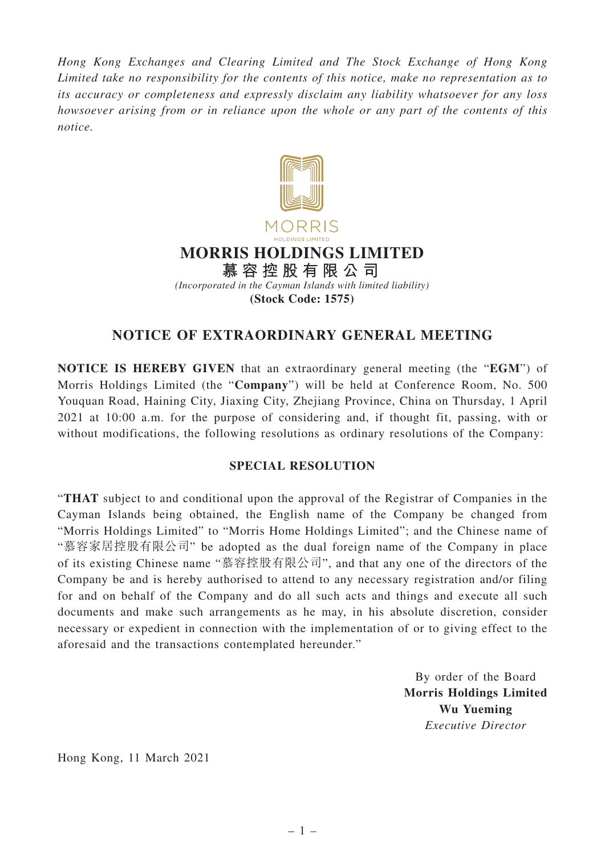*Hong Kong Exchanges and Clearing Limited and The Stock Exchange of Hong Kong Limited take no responsibility for the contents of this notice, make no representation as to its accuracy or completeness and expressly disclaim any liability whatsoever for any loss howsoever arising from or in reliance upon the whole or any part of the contents of this notice.*



## **NOTICE OF EXTRAORDINARY GENERAL MEETING**

**NOTICE IS HEREBY GIVEN** that an extraordinary general meeting (the "**EGM**") of Morris Holdings Limited (the "**Company**") will be held at Conference Room, No. 500 Youquan Road, Haining City, Jiaxing City, Zhejiang Province, China on Thursday, 1 April 2021 at 10:00 a.m. for the purpose of considering and, if thought fit, passing, with or without modifications, the following resolutions as ordinary resolutions of the Company:

## **SPECIAL RESOLUTION**

"**THAT** subject to and conditional upon the approval of the Registrar of Companies in the Cayman Islands being obtained, the English name of the Company be changed from "Morris Holdings Limited" to "Morris Home Holdings Limited"; and the Chinese name of "慕容家居控股有限公司" be adopted as the dual foreign name of the Company in place of its existing Chinese name "慕容控股有限公司", and that any one of the directors of the Company be and is hereby authorised to attend to any necessary registration and/or filing for and on behalf of the Company and do all such acts and things and execute all such documents and make such arrangements as he may, in his absolute discretion, consider necessary or expedient in connection with the implementation of or to giving effect to the aforesaid and the transactions contemplated hereunder."

> By order of the Board **Morris Holdings Limited Wu Yueming** *Executive Director*

Hong Kong, 11 March 2021